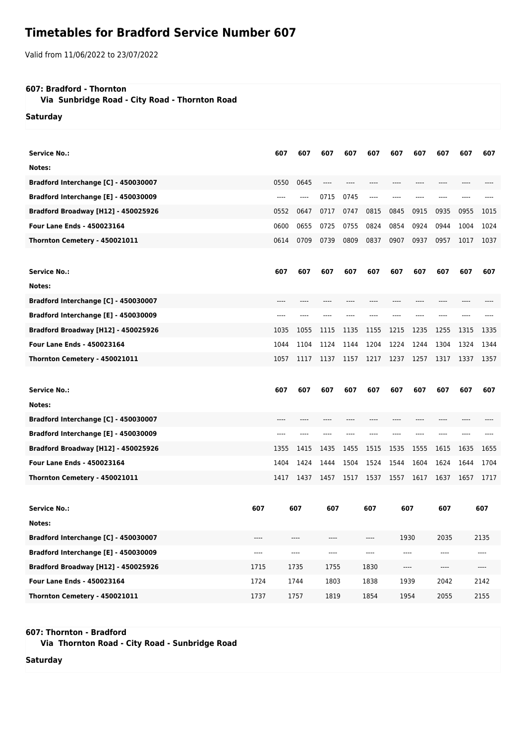## **Timetables for Bradford Service Number 607**

Valid from 11/06/2022 to 23/07/2022

## **607: Bradford - Thornton**

 **Via Sunbridge Road - City Road - Thornton Road**

**Saturday**

| <b>Service No.:</b>                                                                |              | 607  | 607          | 607          | 607  | 607          | 607          | 607  | 607                           | 607  | 607          |
|------------------------------------------------------------------------------------|--------------|------|--------------|--------------|------|--------------|--------------|------|-------------------------------|------|--------------|
| Notes:                                                                             |              |      |              |              |      |              |              |      |                               |      |              |
| Bradford Interchange [C] - 450030007                                               |              | 0550 | 0645         | $---$        |      |              | ----         | ---- | ----                          |      |              |
| Bradford Interchange [E] - 450030009                                               |              | ---- | ----         | 0715         | 0745 | $---$        | ----         | ---- |                               |      |              |
| <b>Bradford Broadway [H12] - 450025926</b>                                         |              | 0552 | 0647         | 0717         | 0747 | 0815         | 0845         | 0915 | 0935                          | 0955 | 1015         |
| <b>Four Lane Ends - 450023164</b>                                                  |              | 0600 | 0655         | 0725         | 0755 | 0824         | 0854         | 0924 | 0944                          | 1004 | 1024         |
| Thornton Cemetery - 450021011                                                      |              | 0614 | 0709         | 0739         | 0809 | 0837         | 0907         | 0937 | 0957                          | 1017 | 1037         |
|                                                                                    |              |      |              |              |      |              |              |      |                               |      |              |
| <b>Service No.:</b>                                                                |              | 607  | 607          | 607          | 607  | 607          | 607          | 607  | 607                           | 607  | 607          |
| Notes:                                                                             |              |      |              |              |      |              |              |      |                               |      |              |
| Bradford Interchange [C] - 450030007                                               |              |      |              |              |      |              |              |      |                               |      |              |
| Bradford Interchange [E] - 450030009                                               |              |      |              |              |      |              |              |      |                               |      |              |
| Bradford Broadway [H12] - 450025926                                                |              | 1035 | 1055         | 1115         | 1135 | 1155         | 1215         | 1235 | 1255                          | 1315 | 1335         |
| Four Lane Ends - 450023164                                                         |              | 1044 | 1104         | 1124         | 1144 | 1204         | 1224         | 1244 | 1304                          | 1324 | 1344         |
| Thornton Cemetery - 450021011                                                      |              | 1057 | 1117         | 1137         | 1157 | 1217         | 1237         | 1257 | 1317                          | 1337 | 1357         |
|                                                                                    |              |      |              |              |      |              |              |      |                               |      |              |
|                                                                                    |              |      |              |              |      |              |              |      |                               |      |              |
| <b>Service No.:</b>                                                                |              | 607  | 607          | 607          | 607  | 607          | 607          | 607  | 607                           | 607  | 607          |
| Notes:                                                                             |              |      |              |              |      |              |              |      |                               |      |              |
|                                                                                    |              |      |              |              |      |              |              |      |                               |      |              |
| Bradford Interchange [C] - 450030007                                               |              |      |              |              |      |              |              |      |                               |      |              |
| Bradford Interchange [E] - 450030009<br><b>Bradford Broadway [H12] - 450025926</b> |              | 1355 | 1415         | 1435         | 1455 | 1515         | 1535         | 1555 | 1615                          | 1635 | 1655         |
| <b>Four Lane Ends - 450023164</b>                                                  |              | 1404 | 1424         | 1444         | 1504 | 1524         | 1544         | 1604 | 1624                          | 1644 | 1704         |
| Thornton Cemetery - 450021011                                                      |              | 1417 | 1437         | 1457         | 1517 | 1537         | 1557         | 1617 | 1637                          | 1657 | 1717         |
|                                                                                    |              |      |              |              |      |              |              |      |                               |      |              |
|                                                                                    |              |      |              |              |      |              |              |      |                               |      |              |
| <b>Service No.:</b>                                                                | 607          |      | 607          | 607          |      | 607          | 607          |      | 607                           |      | 607          |
| Notes:                                                                             |              |      |              |              |      |              |              |      |                               |      |              |
| Bradford Interchange [C] - 450030007                                               | ----         |      | ----         | ----         |      | $---$        | 1930         |      | 2035                          |      | 2135         |
| Bradford Interchange [E] - 450030009                                               | ----         |      | ----         | ----         |      | ----         | ----         |      | $\hspace{1.5cm} \textbf{---}$ |      |              |
| Bradford Broadway [H12] - 450025926                                                | 1715         |      | 1735         | 1755         |      | 1830         | ----         |      | $\hspace{1.5cm} \textbf{---}$ |      | ----         |
| Four Lane Ends - 450023164<br>Thornton Cemetery - 450021011                        | 1724<br>1737 |      | 1744<br>1757 | 1803<br>1819 |      | 1838<br>1854 | 1939<br>1954 |      | 2042<br>2055                  |      | 2142<br>2155 |

**607: Thornton - Bradford**

 **Via Thornton Road - City Road - Sunbridge Road**

**Saturday**